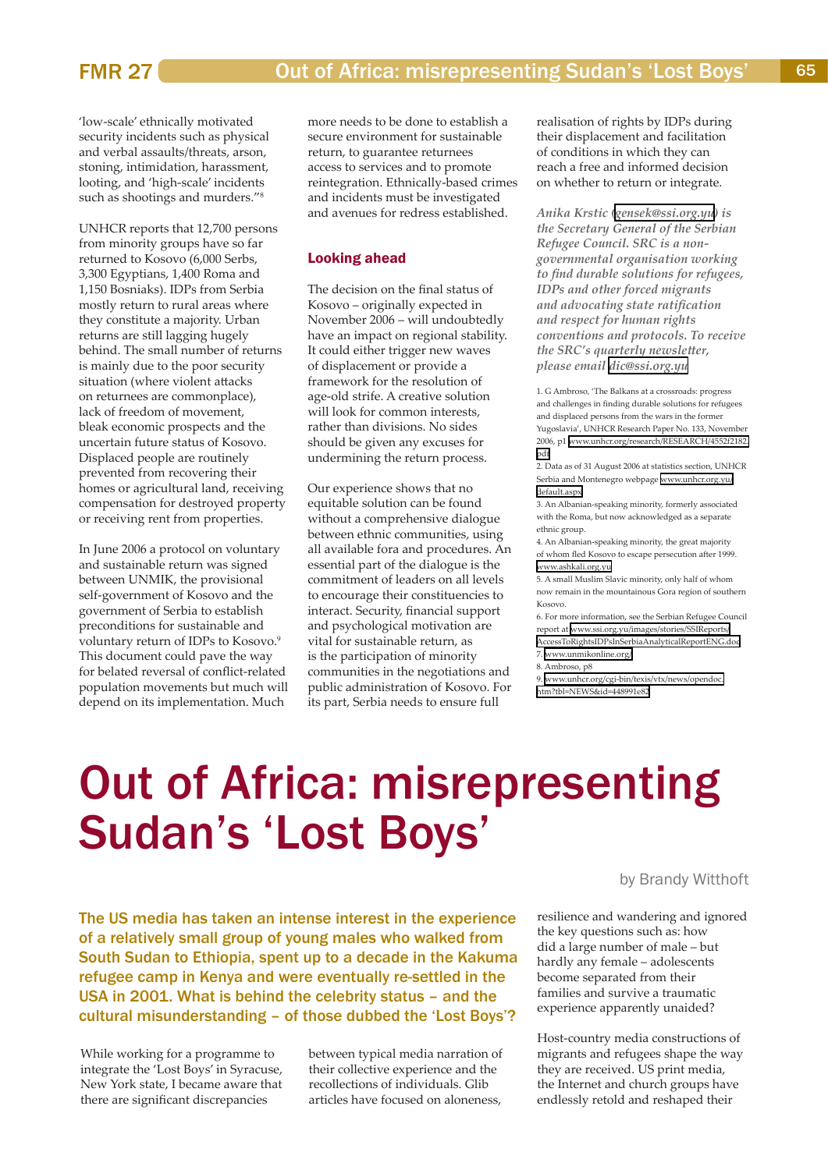## Out of Africa: misrepresenting Sudan's 'Lost Boys'

by Brandy Witthoft

The US media has taken an intense interest in the experience of a relatively small group of young males who walked from South Sudan to Ethiopia, spent up to a decade in the Kakuma refugee camp in Kenya and were eventually re-settled in the USA in 2001. What is behind the celebrity status – and the cultural misunderstanding – of those dubbed the 'Lost Boys'?

While working for a programme to integrate the 'Lost Boys' in Syracuse, New York state, I became aware that there are significant discrepancies

between typical media narration of their collective experience and the recollections of individuals. Glib articles have focused on aloneness,

resilience and wandering and ignored the key questions such as: how did a large number of male – but hardly any female – adolescents become separated from their families and survive a traumatic experience apparently unaided?

Host-country media constructions of migrants and refugees shape the way they are received. US print media, the Internet and church groups have endlessly retold and reshaped their